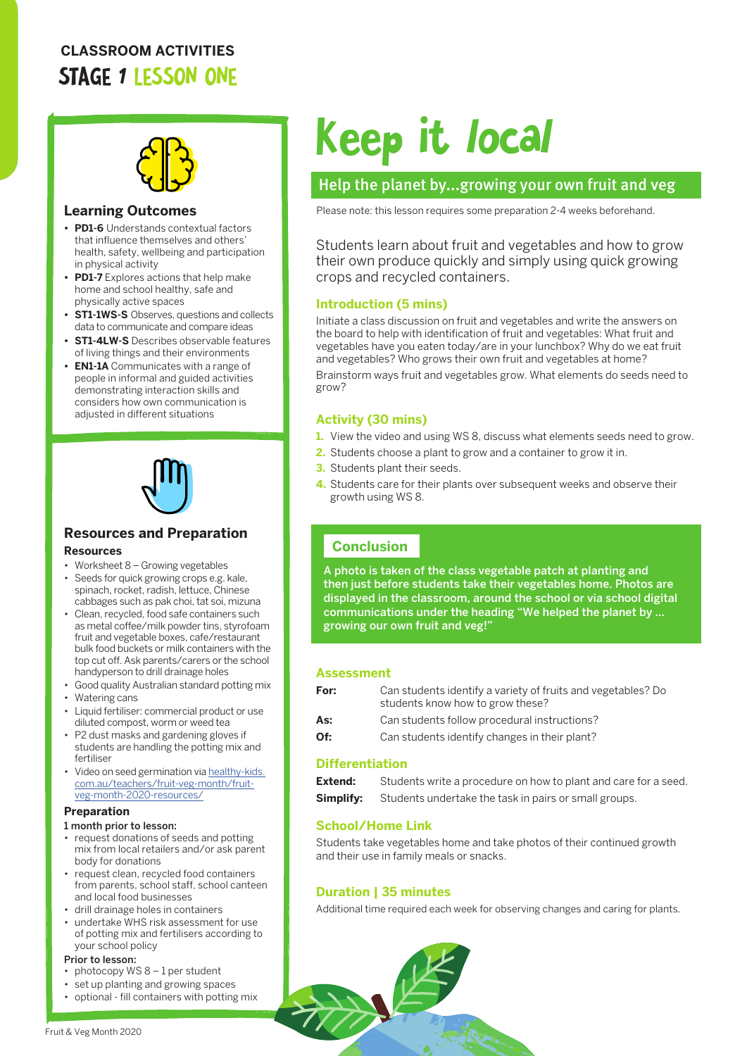# **CLASSROOM ACTIVITIES** STAGE 1 LESSON ONE



# **Learning Outcomes**

- **• PD1-6** Understands contextual factors that influence themselves and others' health, safety, wellbeing and participation in physical activity
- **• PD1-7** Explores actions that help make home and school healthy, safe and physically active spaces
- **• ST1-1WS-S** Observes, questions and collects data to communicate and compare ideas
- **• ST1-4LW-S** Describes observable features of living things and their environments
- **• EN1-1A** Communicates with a range of people in informal and guided activities demonstrating interaction skills and considers how own communication is adjusted in different situations



# **Resources and Preparation**

# **Resources**

- Worksheet 8 Growing vegetables • Seeds for quick growing crops e.g. kale, spinach, rocket, radish, lettuce, Chinese cabbages such as pak choi, tat soi, mizuna
- Clean, recycled, food safe containers such as metal coffee/milk powder tins, styrofoam fruit and vegetable boxes, cafe/restaurant bulk food buckets or milk containers with the top cut off. Ask parents/carers or the school handyperson to drill drainage holes
- Good quality Australian standard potting mix
- Watering cans
- Liquid fertiliser: commercial product or use diluted compost, worm or weed tea
- P2 dust masks and gardening gloves if students are handling the potting mix and fertiliser
- Video on seed germination via [healthy-kids.](http://healthy-kids.com.au/teachers/fruit-veg-month/fruit-veg-month-2020-resources/) [com.au/teachers/fruit-veg-month/fruit](http://healthy-kids.com.au/teachers/fruit-veg-month/fruit-veg-month-2020-resources/)[veg-month-2020-resources/](http://healthy-kids.com.au/teachers/fruit-veg-month/fruit-veg-month-2020-resources/)

#### **Preparation**

#### 1 month prior to lesson:

- request donations of seeds and potting mix from local retailers and/or ask parent body for donations
- request clean, recycled food containers from parents, school staff, school canteen and local food businesses
- drill drainage holes in containers
- undertake WHS risk assessment for use of potting mix and fertilisers according to your school policy

### Prior to lesson:

- photocopy WS 8 1 per student
- set up planting and growing spaces
- optional fill containers with potting mix

# Keep it local

# Help the planet by...growing your own fruit and veg

Please note: this lesson requires some preparation 2-4 weeks beforehand.

Students learn about fruit and vegetables and how to grow their own produce quickly and simply using quick growing crops and recycled containers.

# **Introduction (5 mins)**

Initiate a class discussion on fruit and vegetables and write the answers on the board to help with identification of fruit and vegetables: What fruit and vegetables have you eaten today/are in your lunchbox? Why do we eat fruit and vegetables? Who grows their own fruit and vegetables at home? Brainstorm ways fruit and vegetables grow. What elements do seeds need to grow?

# **Activity (30 mins)**

- **1.** View the video and using WS 8, discuss what elements seeds need to grow.
- **2.** Students choose a plant to grow and a container to grow it in.
- **3.** Students plant their seeds.
- **4.** Students care for their plants over subsequent weeks and observe their growth using WS 8.

# **Conclusion**

A photo is taken of the class vegetable patch at planting and then just before students take their vegetables home. Photos are displayed in the classroom, around the school or via school digital communications under the heading "We helped the planet by … growing our own fruit and veg!"

## **Assessment**

| For: | Can students identify a variety of fruits and vegetables? Do<br>students know how to grow these? |
|------|--------------------------------------------------------------------------------------------------|
| As:  | Can students follow procedural instructions?                                                     |

**Of:** Can students identify changes in their plant?

## **Differentiation**

| Extend: | Students write a procedure on how to plant and care for a seed.        |
|---------|------------------------------------------------------------------------|
|         | <b>Simplify:</b> Students undertake the task in pairs or small groups. |

# **School/Home Link**

Students take vegetables home and take photos of their continued growth and their use in family meals or snacks.

# **Duration | 35 minutes**

Additional time required each week for observing changes and caring for plants.

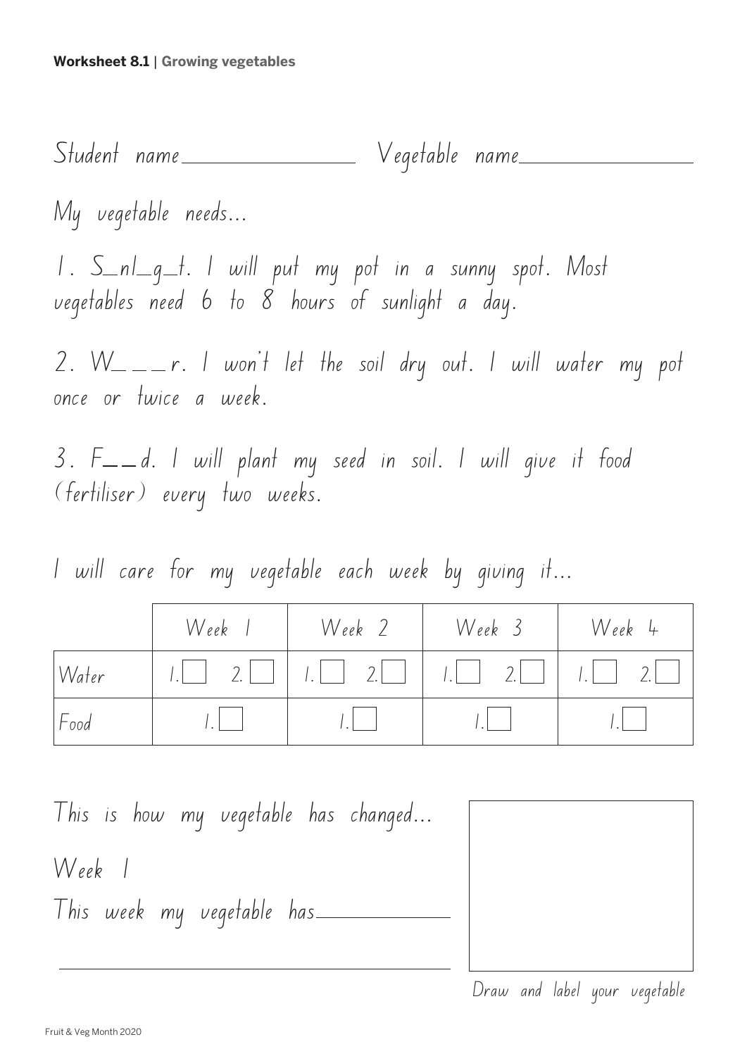Student name Vegetable name 1. S\_nl\_g\_t. I will put my pot in a sunny spot. Most vegetables need 6 to 8 hours of sunlight a day. 2.  $W_- = r$ . I won't let the soil dry out. I will water my pot once or twice a week.  $3. F<sub>--</sub>d.$  I will plant my seed in soil. I will give it food My vegetable needs...

(fertiliser) every two weeks.

I will care for my vegetable each week by giving it...

|       | Week | Week 2 | Week 3 | Week 4                       |
|-------|------|--------|--------|------------------------------|
| Water | $2$  |        |        | $\left  \frac{1}{2} \right $ |
| Food  |      |        |        |                              |

This is how my vegetable has changed... Week 1 This week my vegetable has

Draw and label your vegetable